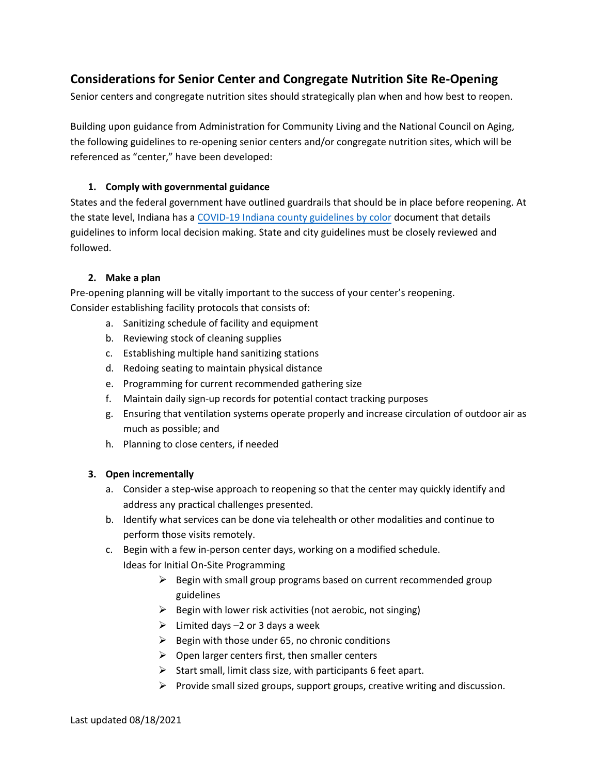# **Considerations for Senior Center and Congregate Nutrition Site Re-Opening**

Senior centers and congregate nutrition sites should strategically plan when and how best to reopen.

Building upon guidance from Administration for Community Living and the National Council on Aging, the following guidelines to re-opening senior centers and/or congregate nutrition sites, which will be referenced as "center," have been developed:

#### **1. Comply with governmental guidance**

States and the federal government have outlined guardrails that should be in place before reopening. At the state level, Indiana has a [COVID-19 Indiana county guidelines by color](https://www.coronavirus.in.gov/files/cid25617016-C5A9-4835-99C9-4FD8B2326F11.pdf) document that details guidelines to inform local decision making. State and city guidelines must be closely reviewed and followed.

#### **2. Make a plan**

Pre-opening planning will be vitally important to the success of your center's reopening. Consider establishing facility protocols that consists of:

- a. Sanitizing schedule of facility and equipment
- b. Reviewing stock of cleaning supplies
- c. Establishing multiple hand sanitizing stations
- d. Redoing seating to maintain physical distance
- e. Programming for current recommended gathering size
- f. Maintain daily sign-up records for potential contact tracking purposes
- g. Ensuring that ventilation systems operate properly and increase circulation of outdoor air as much as possible; and
- h. Planning to close centers, if needed

### **3. Open incrementally**

- a. Consider a step-wise approach to reopening so that the center may quickly identify and address any practical challenges presented.
- b. Identify what services can be done via telehealth or other modalities and continue to perform those visits remotely.
- c. Begin with a few in-person center days, working on a modified schedule. Ideas for Initial On-Site Programming
	- ➢ Begin with small group programs based on current recommended group guidelines
	- $\triangleright$  Begin with lower risk activities (not aerobic, not singing)
	- $\triangleright$  Limited days -2 or 3 days a week
	- $\triangleright$  Begin with those under 65, no chronic conditions
	- $\triangleright$  Open larger centers first, then smaller centers
	- $\triangleright$  Start small, limit class size, with participants 6 feet apart.
	- ➢ Provide small sized groups, support groups, creative writing and discussion.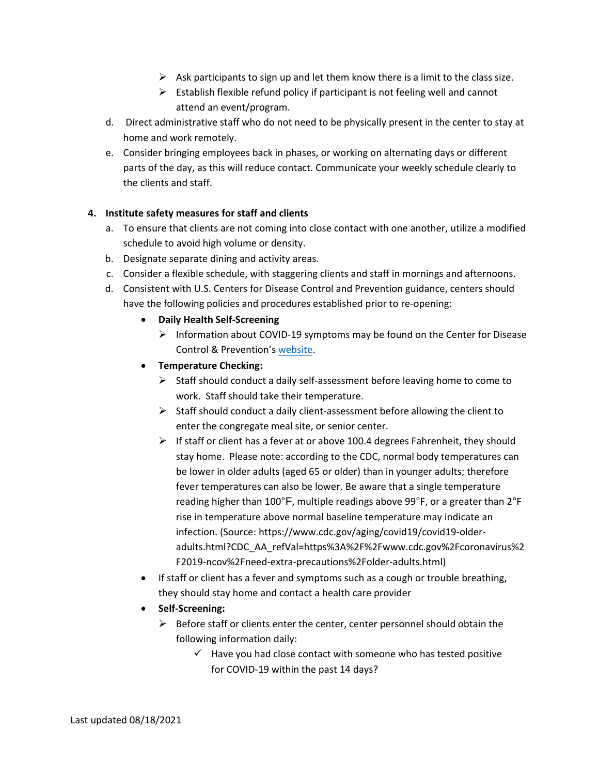- $\triangleright$  Ask participants to sign up and let them know there is a limit to the class size.
- $\triangleright$  Establish flexible refund policy if participant is not feeling well and cannot attend an event/program.
- d. Direct administrative staff who do not need to be physically present in the center to stay at home and work remotely.
- e. Consider bringing employees back in phases, or working on alternating days or different parts of the day, as this will reduce contact. Communicate your weekly schedule clearly to the clients and staff.

### **4. Institute safety measures for staff and clients**

- a. To ensure that clients are not coming into close contact with one another, utilize a modified schedule to avoid high volume or density.
- b. Designate separate dining and activity areas.
- c. Consider a flexible schedule, with staggering clients and staff in mornings and afternoons.
- d. Consistent with U.S. Centers for Disease Control and Prevention guidance, centers should have the following policies and procedures established prior to re-opening:
	- **Daily Health Self-Screening**
		- $\triangleright$  Information about COVID-19 symptoms may be found on the Center for Disease Control & Prevention's [website.](https://lnks.gd/l/eyJhbGciOiJIUzI1NiJ9.eyJidWxsZXRpbl9saW5rX2lkIjoxMDEsInVyaSI6ImJwMjpjbGljayIsImJ1bGxldGluX2lkIjoiMjAyMDA1MDcuMjEyMDg5MDEiLCJ1cmwiOiJodHRwczovL3d3dy5jZGMuZ292L2Nvcm9uYXZpcnVzLzIwMTktbmNvdi9zeW1wdG9tcy10ZXN0aW5nL3N5bXB0b21zLmh0bWwifQ.rAkwK06jbJvZ2eqPbGz2AZ2xCHI0HvO-20zxPj9EkhA/br/78387814588-l)
	- **Temperature Checking:**
		- ➢ Staff should conduct a daily self-assessment before leaving home to come to work. Staff should take their temperature.
		- $\triangleright$  Staff should conduct a daily client-assessment before allowing the client to enter the congregate meal site, or senior center.
		- ➢ If staff or client has a fever at or above 100.4 degrees Fahrenheit, they should stay home. Please note: according to the CDC, normal body temperatures can be lower in older adults (aged 65 or older) than in younger adults; therefore fever temperatures can also be lower. Be aware that a single temperature reading higher than 100°F, multiple readings above 99°F, or a greater than 2°F rise in temperature above normal baseline temperature may indicate an infection. (Source: https://www.cdc.gov/aging/covid19/covid19-olderadults.html?CDC\_AA\_refVal=https%3A%2F%2Fwww.cdc.gov%2Fcoronavirus%2 F2019-ncov%2Fneed-extra-precautions%2Folder-adults.html)
	- If staff or client has a fever and symptoms such as a cough or trouble breathing, they should stay home and contact a health care provider
	- **Self-Screening:**
		- $\triangleright$  Before staff or clients enter the center, center personnel should obtain the following information daily:
			- $\checkmark$  Have you had close contact with someone who has tested positive for COVID-19 within the past 14 days?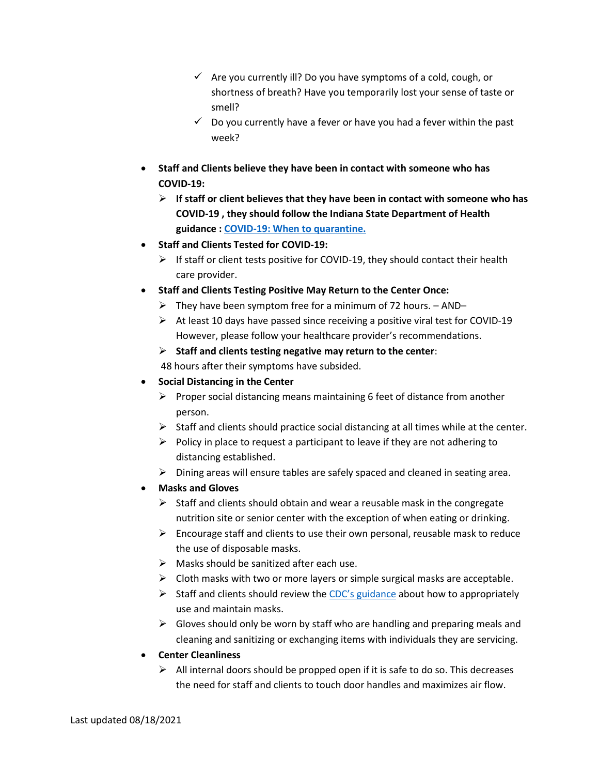- $\checkmark$  Are you currently ill? Do you have symptoms of a cold, cough, or shortness of breath? Have you temporarily lost your sense of taste or smell?
- $\checkmark$  Do you currently have a fever or have you had a fever within the past week?
- **Staff and Clients believe they have been in contact with someone who has COVID-19:**
	- ➢ **If staff or client believes that they have been in contact with someone who has COVID-19 , they should follow the Indiana State Department of Health guidance : [COVID-19: When to quarantine.](https://www.coronavirus.in.gov/files/20_Family%20quarantine_2-15-21.pdf)**
- **Staff and Clients Tested for COVID-19:**
	- $\triangleright$  If staff or client tests positive for COVID-19, they should contact their health care provider.
- **Staff and Clients Testing Positive May Return to the Center Once:**
	- $\triangleright$  They have been symptom free for a minimum of 72 hours. AND–
	- ➢ At least 10 days have passed since receiving a positive viral test for COVID-19 However, please follow your healthcare provider's recommendations.
	- ➢ **Staff and clients testing negative may return to the center**:

48 hours after their symptoms have subsided.

- **Social Distancing in the Center**
	- ➢ Proper social distancing means maintaining 6 feet of distance from another person.
	- $\triangleright$  Staff and clients should practice social distancing at all times while at the center.
	- $\triangleright$  Policy in place to request a participant to leave if they are not adhering to distancing established.
	- $\triangleright$  Dining areas will ensure tables are safely spaced and cleaned in seating area.
- **Masks and Gloves**
	- $\triangleright$  Staff and clients should obtain and wear a reusable mask in the congregate nutrition site or senior center with the exception of when eating or drinking.
	- $\triangleright$  Encourage staff and clients to use their own personal, reusable mask to reduce the use of disposable masks.
	- $\triangleright$  Masks should be sanitized after each use.
	- ➢ Cloth masks with two or more layers or simple surgical masks are acceptable.
	- $\triangleright$  Staff and clients should review the [CDC's guidance](https://lnks.gd/l/eyJhbGciOiJIUzI1NiJ9.eyJidWxsZXRpbl9saW5rX2lkIjoxMDMsInVyaSI6ImJwMjpjbGljayIsImJ1bGxldGluX2lkIjoiMjAyMDA1MDcuMjEyMDg5MDEiLCJ1cmwiOiJodHRwczovL3d3dy5jZGMuZ292L2Nvcm9uYXZpcnVzLzIwMTktbmNvdi9wcmV2ZW50LWdldHRpbmctc2ljay9kaXktY2xvdGgtZmFjZS1jb3ZlcmluZ3MuaHRtbCJ9.BvXzWY90fLIY2GiR-uY5QXHAxKVd2Y9MfgjrxW4dieE/br/78387814588-l) about how to appropriately use and maintain masks.
	- $\triangleright$  Gloves should only be worn by staff who are handling and preparing meals and cleaning and sanitizing or exchanging items with individuals they are servicing.
- **Center Cleanliness**
	- $\triangleright$  All internal doors should be propped open if it is safe to do so. This decreases the need for staff and clients to touch door handles and maximizes air flow.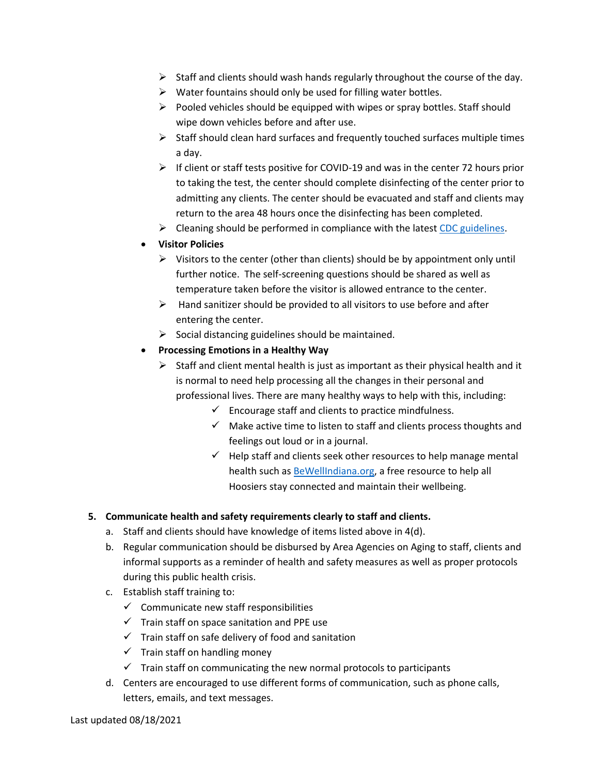- $\triangleright$  Staff and clients should wash hands regularly throughout the course of the day.
- $\triangleright$  Water fountains should only be used for filling water bottles.
- ➢ Pooled vehicles should be equipped with wipes or spray bottles. Staff should wipe down vehicles before and after use.
- $\triangleright$  Staff should clean hard surfaces and frequently touched surfaces multiple times a day.
- $\triangleright$  If client or staff tests positive for COVID-19 and was in the center 72 hours prior to taking the test, the center should complete disinfecting of the center prior to admitting any clients. The center should be evacuated and staff and clients may return to the area 48 hours once the disinfecting has been completed.
- $\triangleright$  Cleaning should be performed in compliance with the latest [CDC guidelines.](https://lnks.gd/l/eyJhbGciOiJIUzI1NiJ9.eyJidWxsZXRpbl9saW5rX2lkIjoxMDQsInVyaSI6ImJwMjpjbGljayIsImJ1bGxldGluX2lkIjoiMjAyMDA1MDcuMjEyMDg5MDEiLCJ1cmwiOiJodHRwczovL3d3dy5jZGMuZ292L2Nvcm9uYXZpcnVzLzIwMTktbmNvdi9jb21tdW5pdHkvZGlzaW5mZWN0aW5nLWJ1aWxkaW5nLWZhY2lsaXR5Lmh0bWwifQ.X1dMfZtrC29balWepjG1Qlte-kIviQRt5XUNJc9p2fw/br/78387814588-l)
- **Visitor Policies**
	- $\triangleright$  Visitors to the center (other than clients) should be by appointment only until further notice. The self-screening questions should be shared as well as temperature taken before the visitor is allowed entrance to the center.
	- $\triangleright$  Hand sanitizer should be provided to all visitors to use before and after entering the center.
	- $\triangleright$  Social distancing guidelines should be maintained.
- **Processing Emotions in a Healthy Way**
	- $\triangleright$  Staff and client mental health is just as important as their physical health and it is normal to need help processing all the changes in their personal and professional lives. There are many healthy ways to help with this, including:
		- $\checkmark$  Encourage staff and clients to practice mindfulness.
		- $\checkmark$  Make active time to listen to staff and clients process thoughts and feelings out loud or in a journal.
		- $\checkmark$  Help staff and clients seek other resources to help manage mental health such as [BeWellIndiana.org,](https://lnks.gd/l/eyJhbGciOiJIUzI1NiJ9.eyJidWxsZXRpbl9saW5rX2lkIjoxMDcsInVyaSI6ImJwMjpjbGljayIsImJ1bGxldGluX2lkIjoiMjAyMDA1MDcuMjEyMDg5MDEiLCJ1cmwiOiJodHRwczovL2Jld2VsbGluZGlhbmEub3JnIn0.jrwiLBKaUYKs3bGq0IyXAs5cG_s1Swl2z6xB74fqblA/br/78387814588-l) a free resource to help all Hoosiers stay connected and maintain their wellbeing.

### **5. Communicate health and safety requirements clearly to staff and clients.**

- a. Staff and clients should have knowledge of items listed above in 4(d).
- b. Regular communication should be disbursed by Area Agencies on Aging to staff, clients and informal supports as a reminder of health and safety measures as well as proper protocols during this public health crisis.
- c. Establish staff training to:
	- $\checkmark$  Communicate new staff responsibilities
	- $\checkmark$  Train staff on space sanitation and PPE use
	- $\checkmark$  Train staff on safe delivery of food and sanitation
	- $\checkmark$  Train staff on handling money
	- $\checkmark$  Train staff on communicating the new normal protocols to participants
- d. Centers are encouraged to use different forms of communication, such as phone calls, letters, emails, and text messages.